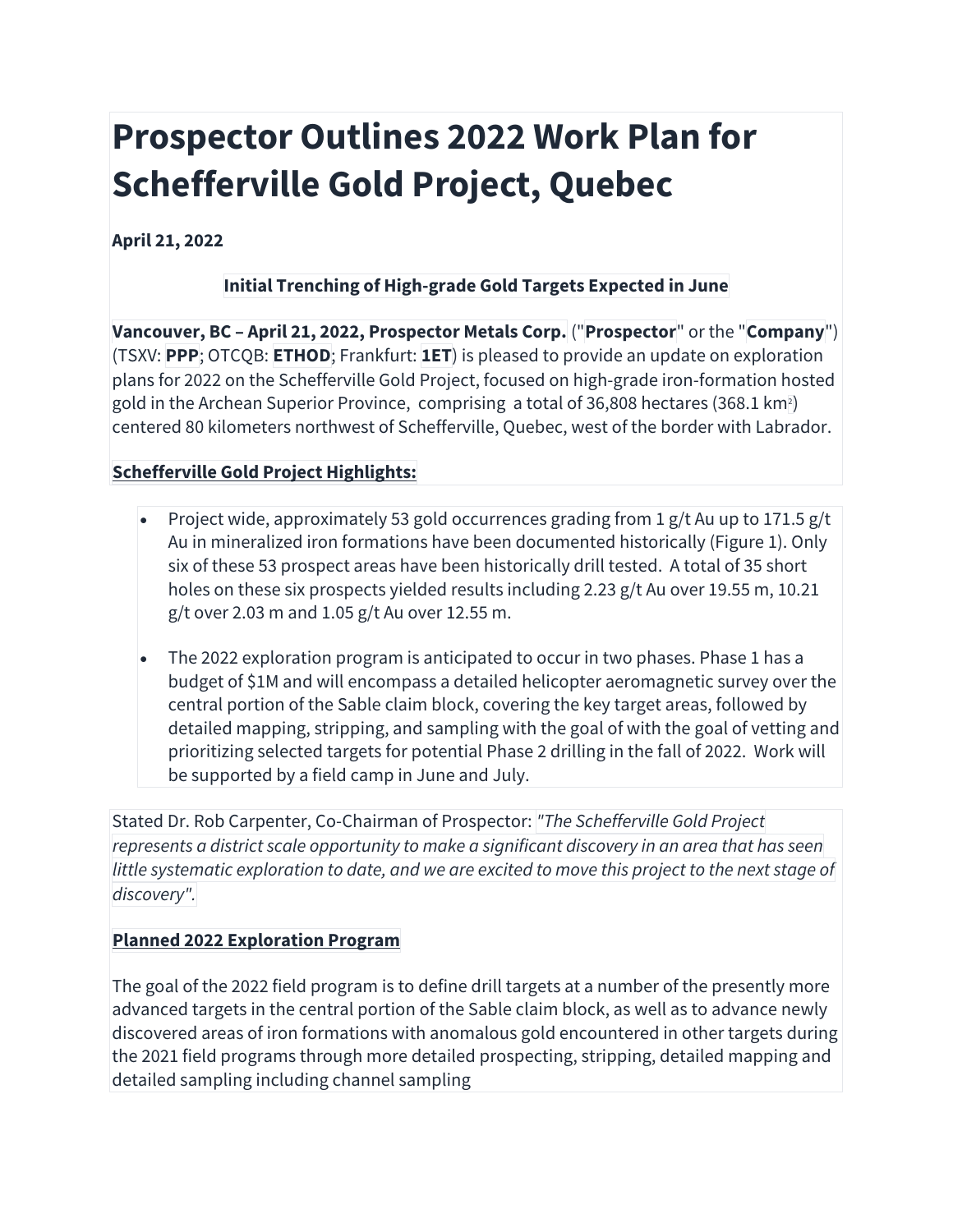# **Prospector Outlines 2022 Work Plan for Schefferville Gold Project, Quebec**

**April 21, 2022**

### **Initial Trenching of High-grade Gold Targets Expected in June**

**Vancouver, BC – April 21, 2022, Prospector Metals Corp.** ("**Prospector**" or the "**Company**") (TSXV: **PPP**; OTCQB: **ETHOD**; Frankfurt: **1ET**) is pleased to provide an update on exploration plans for 2022 on the Schefferville Gold Project, focused on high-grade iron-formation hosted gold in the Archean Superior Province, comprising a total of 36,808 hectares (368.1 km²) centered 80 kilometers northwest of Schefferville, Quebec, west of the border with Labrador.

## **Schefferville Gold Project Highlights:**

- Project wide, approximately 53 gold occurrences grading from 1 g/t Au up to 171.5 g/t Au in mineralized iron formations have been documented historically (Figure 1). Only six of these 53 prospect areas have been historically drill tested. A total of 35 short holes on these six prospects yielded results including 2.23 g/t Au over 19.55 m, 10.21 g/t over 2.03 m and 1.05 g/t Au over 12.55 m.
- The 2022 exploration program is anticipated to occur in two phases. Phase 1 has a budget of \$1M and will encompass a detailed helicopter aeromagnetic survey over the central portion of the Sable claim block, covering the key target areas, followed by detailed mapping, stripping, and sampling with the goal of with the goal of vetting and prioritizing selected targets for potential Phase 2 drilling in the fall of 2022. Work will be supported by a field camp in June and July.

Stated Dr. Rob Carpenter, Co-Chairman of Prospector: *"The Schefferville Gold Project represents a district scale opportunity to make a significant discovery in an area that has seen* little systematic exploration to date, and we are excited to move this project to the next stage of *discovery".*

#### **Planned 2022 Exploration Program**

The goal of the 2022 field program is to define drill targets at a number of the presently more advanced targets in the central portion of the Sable claim block, as well as to advance newly discovered areas of iron formations with anomalous gold encountered in other targets during the 2021 field programs through more detailed prospecting, stripping, detailed mapping and detailed sampling including channel sampling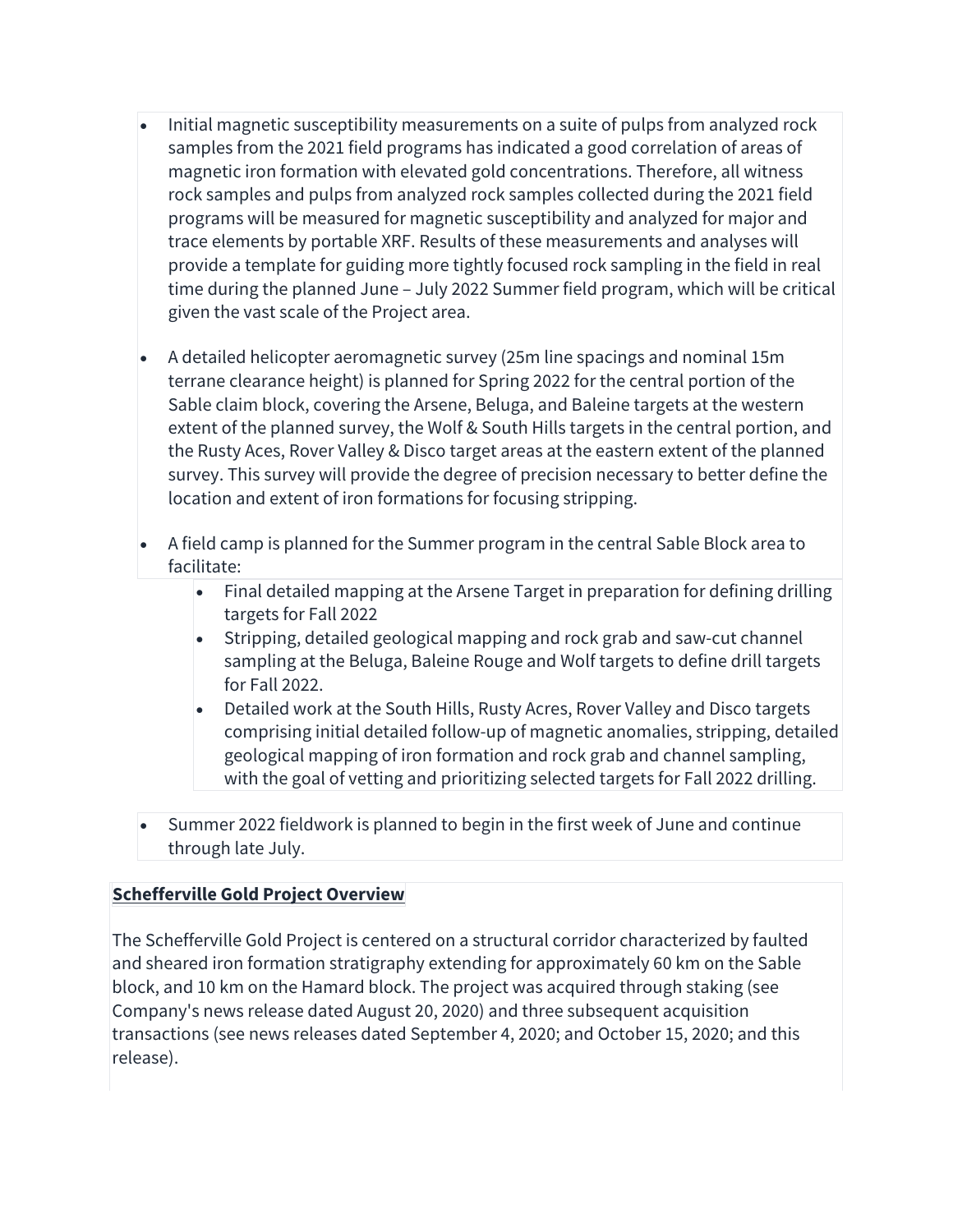- Initial magnetic susceptibility measurements on a suite of pulps from analyzed rock samples from the 2021 field programs has indicated a good correlation of areas of magnetic iron formation with elevated gold concentrations. Therefore, all witness rock samples and pulps from analyzed rock samples collected during the 2021 field programs will be measured for magnetic susceptibility and analyzed for major and trace elements by portable XRF. Results of these measurements and analyses will provide a template for guiding more tightly focused rock sampling in the field in real time during the planned June – July 2022 Summer field program, which will be critical given the vast scale of the Project area.
- A detailed helicopter aeromagnetic survey (25m line spacings and nominal 15m terrane clearance height) is planned for Spring 2022 for the central portion of the Sable claim block, covering the Arsene, Beluga, and Baleine targets at the western extent of the planned survey, the Wolf & South Hills targets in the central portion, and the Rusty Aces, Rover Valley & Disco target areas at the eastern extent of the planned survey. This survey will provide the degree of precision necessary to better define the location and extent of iron formations for focusing stripping.
- A field camp is planned for the Summer program in the central Sable Block area to facilitate:
	- Final detailed mapping at the Arsene Target in preparation for defining drilling targets for Fall 2022
	- Stripping, detailed geological mapping and rock grab and saw-cut channel sampling at the Beluga, Baleine Rouge and Wolf targets to define drill targets for Fall 2022.
	- Detailed work at the South Hills, Rusty Acres, Rover Valley and Disco targets comprising initial detailed follow-up of magnetic anomalies, stripping, detailed geological mapping of iron formation and rock grab and channel sampling, with the goal of vetting and prioritizing selected targets for Fall 2022 drilling.
- Summer 2022 fieldwork is planned to begin in the first week of June and continue through late July.

#### **Schefferville Gold Project Overview**

The Schefferville Gold Project is centered on a structural corridor characterized by faulted and sheared iron formation stratigraphy extending for approximately 60 km on the Sable block, and 10 km on the Hamard block. The project was acquired through staking (see Company's news release dated August 20, 2020) and three subsequent acquisition transactions (see news releases dated September 4, 2020; and October 15, 2020; and this release).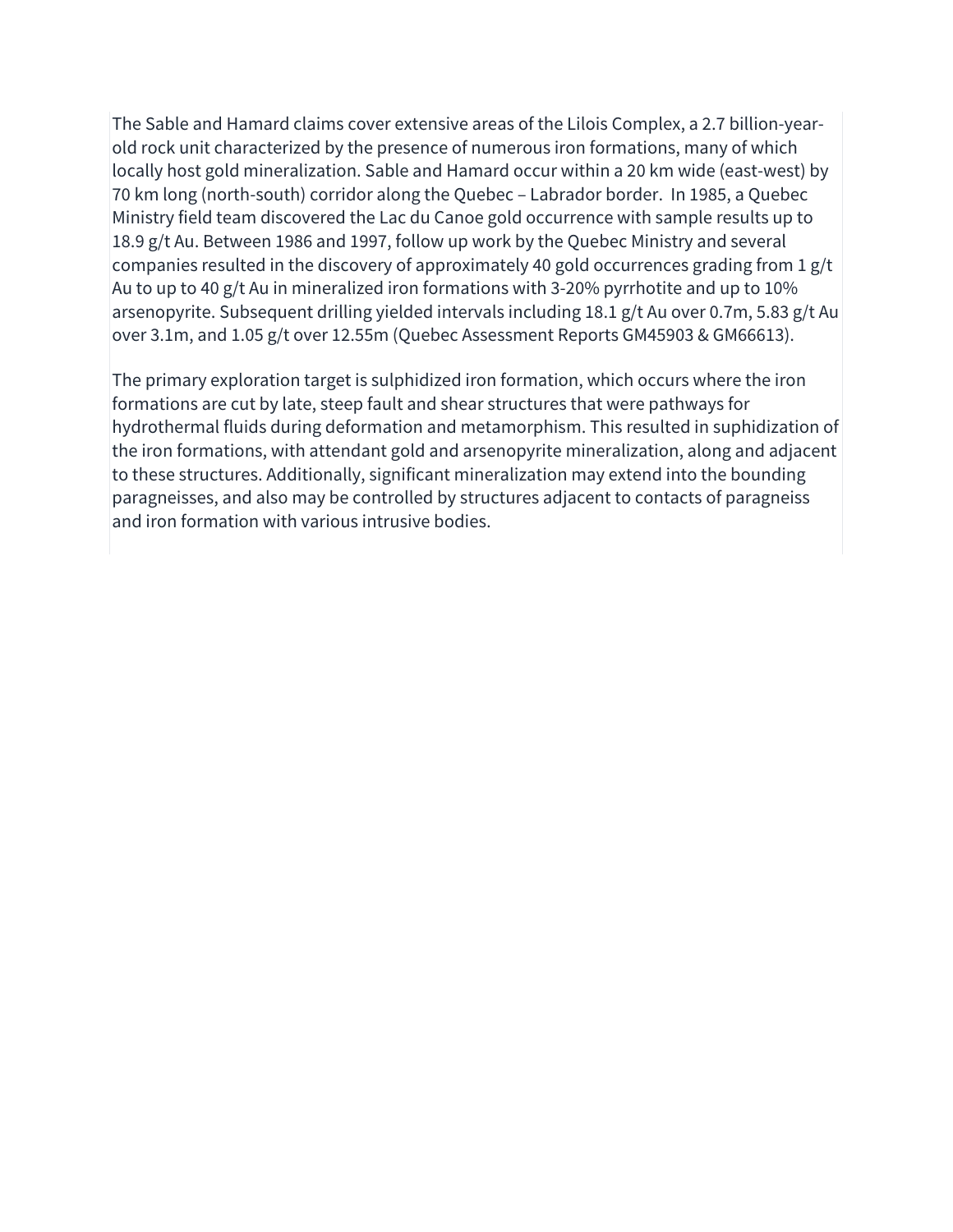The Sable and Hamard claims cover extensive areas of the Lilois Complex, a 2.7 billion-yearold rock unit characterized by the presence of numerous iron formations, many of which locally host gold mineralization. Sable and Hamard occur within a 20 km wide (east-west) by 70 km long (north-south) corridor along the Quebec – Labrador border. In 1985, a Quebec Ministry field team discovered the Lac du Canoe gold occurrence with sample results up to 18.9 g/t Au. Between 1986 and 1997, follow up work by the Quebec Ministry and several companies resulted in the discovery of approximately 40 gold occurrences grading from 1 g/t Au to up to 40 g/t Au in mineralized iron formations with 3-20% pyrrhotite and up to 10% arsenopyrite. Subsequent drilling yielded intervals including 18.1 g/t Au over 0.7m, 5.83 g/t Au over 3.1m, and 1.05 g/t over 12.55m (Quebec Assessment Reports GM45903 & GM66613).

The primary exploration target is sulphidized iron formation, which occurs where the iron formations are cut by late, steep fault and shear structures that were pathways for hydrothermal fluids during deformation and metamorphism. This resulted in suphidization of the iron formations, with attendant gold and arsenopyrite mineralization, along and adjacent to these structures. Additionally, significant mineralization may extend into the bounding paragneisses, and also may be controlled by structures adjacent to contacts of paragneiss and iron formation with various intrusive bodies.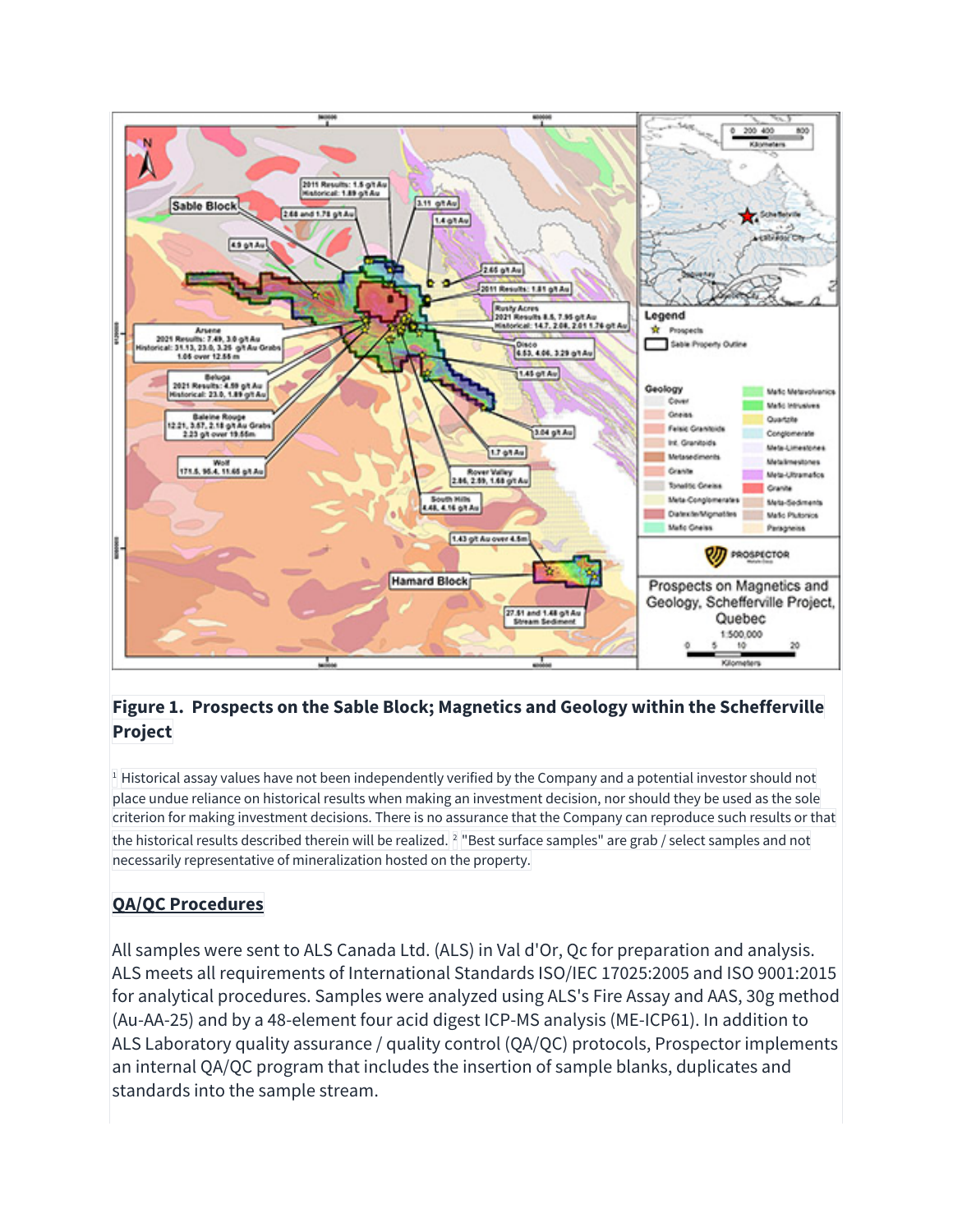

#### **Figure 1. Prospects on the Sable Block; Magnetics and Geology within the Schefferville Project**

<sup>1</sup> Historical assay values have not been independently verified by the Company and a potential investor should not place undue reliance on historical results when making an investment decision, nor should they be used as the sole criterion for making investment decisions. There is no assurance that the Company can reproduce such results or that the historical results described therein will be realized. <sup>2</sup> "Best surface samples" are grab / select samples and not necessarily representative of mineralization hosted on the property.

# **QA/QC Procedures**

All samples were sent to ALS Canada Ltd. (ALS) in Val d'Or, Qc for preparation and analysis. ALS meets all requirements of International Standards ISO/IEC 17025:2005 and ISO 9001:2015 for analytical procedures. Samples were analyzed using ALS's Fire Assay and AAS, 30g method (Au-AA-25) and by a 48-element four acid digest ICP-MS analysis (ME-ICP61). In addition to ALS Laboratory quality assurance / quality control (QA/QC) protocols, Prospector implements an internal QA/QC program that includes the insertion of sample blanks, duplicates and standards into the sample stream.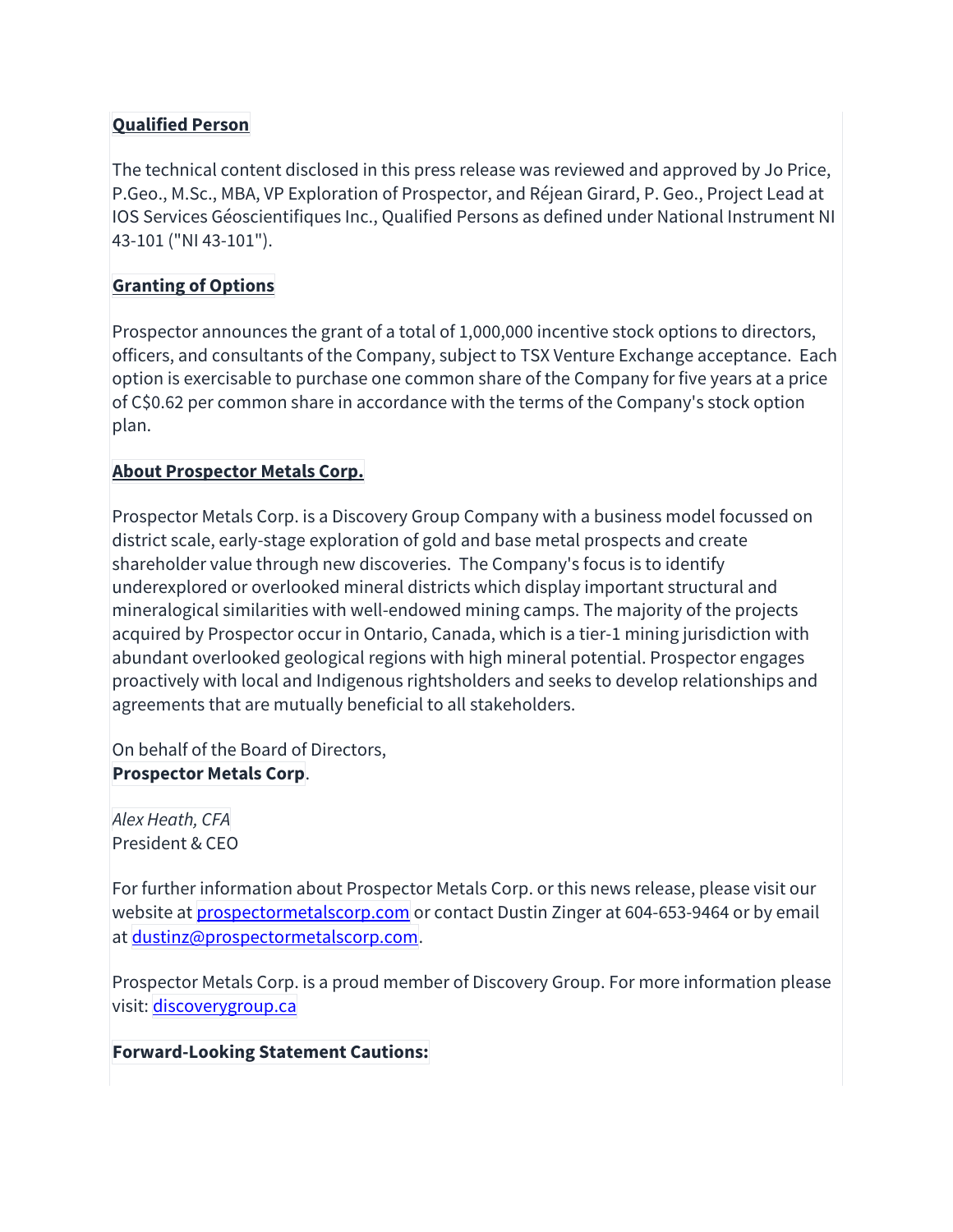#### **Qualified Person**

The technical content disclosed in this press release was reviewed and approved by Jo Price, P.Geo., M.Sc., MBA, VP Exploration of Prospector, and Réjean Girard, P. Geo., Project Lead at IOS Services Géoscientifiques Inc., Qualified Persons as defined under National Instrument NI 43-101 ("NI 43-101").

#### **Granting of Options**

Prospector announces the grant of a total of 1,000,000 incentive stock options to directors, officers, and consultants of the Company, subject to TSX Venture Exchange acceptance. Each option is exercisable to purchase one common share of the Company for five years at a price of C\$0.62 per common share in accordance with the terms of the Company's stock option plan.

#### **About Prospector Metals Corp.**

Prospector Metals Corp. is a Discovery Group Company with a business model focussed on district scale, early-stage exploration of gold and base metal prospects and create shareholder value through new discoveries. The Company's focus is to identify underexplored or overlooked mineral districts which display important structural and mineralogical similarities with well-endowed mining camps. The majority of the projects acquired by Prospector occur in Ontario, Canada, which is a tier-1 mining jurisdiction with abundant overlooked geological regions with high mineral potential. Prospector engages proactively with local and Indigenous rightsholders and seeks to develop relationships and agreements that are mutually beneficial to all stakeholders.

On behalf of the Board of Directors, **Prospector Metals Corp**.

*Alex Heath, CFA* President & CEO

For further information about Prospector Metals Corp. or this news release, please visit our website at **prospectormetalscorp.com** or contact Dustin Zinger at 604-653-9464 or by email at dustinz@prospectormetalscorp.com.

Prospector Metals Corp. is a proud member of Discovery Group. For more information please visit: discoverygroup.ca

**Forward-Looking Statement Cautions:**